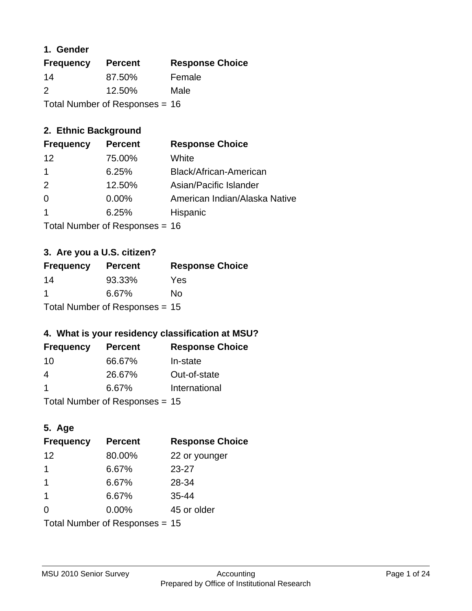### **1. Gender**

| <b>Frequency</b>                 | <b>Percent</b> | <b>Response Choice</b> |
|----------------------------------|----------------|------------------------|
| 14                               | 87.50%         | Female                 |
| $\mathcal{P}$                    | 12.50%         | Male                   |
| Total Number of Responses = $16$ |                |                        |

### **2. Ethnic Background**

| <b>Frequency</b> | <b>Percent</b> | <b>Response Choice</b>        |
|------------------|----------------|-------------------------------|
| 12               | 75.00%         | White                         |
|                  | 6.25%          | Black/African-American        |
| $\mathcal{P}$    | 12.50%         | Asian/Pacific Islander        |
| $\Omega$         | $0.00\%$       | American Indian/Alaska Native |
|                  | 6.25%          | Hispanic                      |
|                  |                |                               |

Total Number of Responses = 16

### **3. Are you a U.S. citizen?**

| <b>Frequency</b>                 | <b>Percent</b> | <b>Response Choice</b> |
|----------------------------------|----------------|------------------------|
| 14                               | 93.33%         | Yes                    |
| -1                               | 6.67%          | N٥                     |
| Total Number of Responses = $15$ |                |                        |

### **4. What is your residency classification at MSU?**

| <b>Frequency</b> | <b>Percent</b> | <b>Response Choice</b> |
|------------------|----------------|------------------------|
| -10              | 66.67%         | In-state               |
| 4                | 26.67%         | Out-of-state           |
| -1               | 6.67%          | International          |
|                  |                |                        |

Total Number of Responses = 15

### **5. Age**

| <b>Frequency</b>                 | <b>Percent</b> | <b>Response Choice</b> |
|----------------------------------|----------------|------------------------|
| 12                               | 80.00%         | 22 or younger          |
| 1                                | 6.67%          | $23 - 27$              |
| 1                                | 6.67%          | 28-34                  |
| $\overline{1}$                   | 6.67%          | $35 - 44$              |
| $\Omega$                         | 0.00%          | 45 or older            |
| Total Number of Responses = $15$ |                |                        |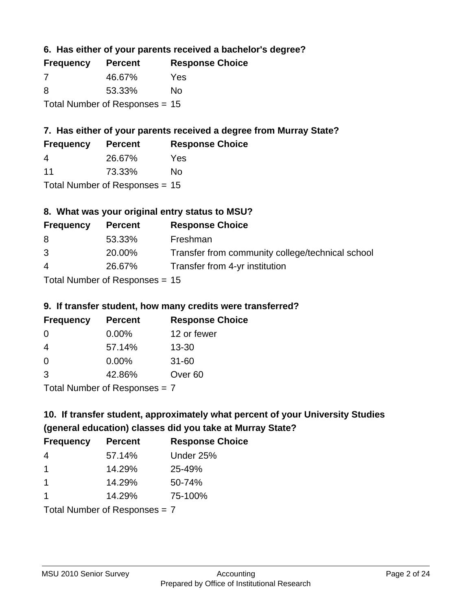**6. Has either of your parents received a bachelor's degree?**

| <b>Frequency</b>                 | <b>Percent</b> | <b>Response Choice</b> |
|----------------------------------|----------------|------------------------|
| 7                                | 46.67%         | Yes                    |
| 8                                | 53.33%         | No                     |
| Total Number of Responses $= 15$ |                |                        |

### **7. Has either of your parents received a degree from Murray State?**

| <b>Frequency</b>      | <b>Percent</b> | <b>Response Choice</b> |
|-----------------------|----------------|------------------------|
| $\boldsymbol{\Delta}$ | 26.67%         | Yes                    |
| 11                    | 73.33%         | No                     |

Total Number of Responses = 15

### **8. What was your original entry status to MSU?**

| <b>Frequency</b> | <b>Percent</b>                | <b>Response Choice</b>                           |
|------------------|-------------------------------|--------------------------------------------------|
| 8                | 53.33%                        | Freshman                                         |
| 3                | 20.00%                        | Transfer from community college/technical school |
| $\overline{4}$   | 26.67%                        | Transfer from 4-yr institution                   |
|                  | Tetal Nicoslope of Depressore |                                                  |

Total Number of Responses = 15

#### **9. If transfer student, how many credits were transferred?**

| <b>Frequency</b>            | <b>Percent</b> | <b>Response Choice</b> |
|-----------------------------|----------------|------------------------|
| -0                          | $0.00\%$       | 12 or fewer            |
| -4                          | 57.14%         | $13 - 30$              |
| 0                           | $0.00\%$       | $31 - 60$              |
| -3                          | 42.86%         | Over <sub>60</sub>     |
| Total Number of Despenses 7 |                |                        |

Total Number of Responses = 7

# **10. If transfer student, approximately what percent of your University Studies (general education) classes did you take at Murray State?**

| <b>Frequency</b>              | <b>Percent</b> | <b>Response Choice</b> |
|-------------------------------|----------------|------------------------|
| 4                             | 57.14%         | Under 25%              |
| -1                            | 14.29%         | 25-49%                 |
| -1                            | 14.29%         | 50-74%                 |
| -1                            | 14.29%         | 75-100%                |
| Total Number of Reconnege – 7 |                |                        |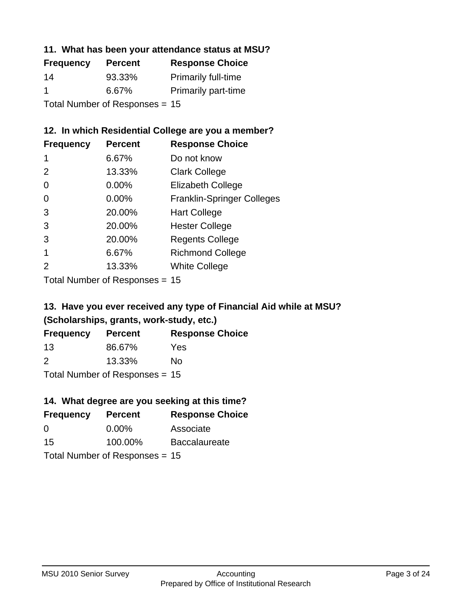#### **11. What has been your attendance status at MSU?**

| <b>Frequency</b>               | <b>Percent</b> | <b>Response Choice</b>     |
|--------------------------------|----------------|----------------------------|
| 14                             | 93.33%         | <b>Primarily full-time</b> |
| -1                             | 6.67%          | <b>Primarily part-time</b> |
| Total Number of Responses = 15 |                |                            |

### **12. In which Residential College are you a member?**

| <b>Frequency</b> | <b>Percent</b> | <b>Response Choice</b>            |
|------------------|----------------|-----------------------------------|
| 1                | 6.67%          | Do not know                       |
| 2                | 13.33%         | <b>Clark College</b>              |
| 0                | $0.00\%$       | <b>Elizabeth College</b>          |
| 0                | $0.00\%$       | <b>Franklin-Springer Colleges</b> |
| 3                | 20.00%         | <b>Hart College</b>               |
| 3                | 20.00%         | <b>Hester College</b>             |
| 3                | 20.00%         | <b>Regents College</b>            |
|                  | 6.67%          | <b>Richmond College</b>           |
|                  | 13.33%         | <b>White College</b>              |
|                  |                |                                   |

Total Number of Responses = 15

### **13. Have you ever received any type of Financial Aid while at MSU? (Scholarships, grants, work-study, etc.)**

| <b>Frequency</b> | <b>Percent</b>              | <b>Response Choice</b> |
|------------------|-----------------------------|------------------------|
| 13               | 86.67%                      | Yes                    |
| 2                | 13.33%                      | No                     |
|                  | Tatal Massakan af Dagmannar |                        |

Total Number of Responses = 15

# **14. What degree are you seeking at this time?**

| <b>Frequency</b> | <b>Percent</b>                   | <b>Response Choice</b> |
|------------------|----------------------------------|------------------------|
| 0                | $0.00\%$                         | Associate              |
| 15               | 100.00%                          | <b>Baccalaureate</b>   |
|                  | Total Number of Responses = $15$ |                        |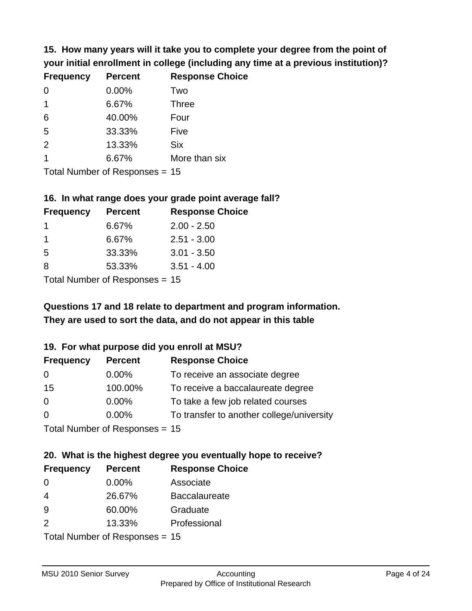**15. How many years will it take you to complete your degree from the point of your initial enrollment in college (including any time at a previous institution)?**

| <b>Frequency</b> | <b>Percent</b> | <b>Response Choice</b> |
|------------------|----------------|------------------------|
| $\Omega$         | 0.00%          | Two                    |
| $\overline{1}$   | 6.67%          | <b>Three</b>           |
| 6                | 40.00%         | Four                   |
| 5                | 33.33%         | Five                   |
| 2                | 13.33%         | <b>Six</b>             |
| 1                | 6.67%          | More than six          |
|                  |                |                        |

Total Number of Responses = 15

#### **16. In what range does your grade point average fall?**

| <b>Frequency</b> | <b>Percent</b> | <b>Response Choice</b> |
|------------------|----------------|------------------------|
|                  | 6.67%          | $2.00 - 2.50$          |
|                  | 6.67%          | $2.51 - 3.00$          |
| -5               | 33.33%         | $3.01 - 3.50$          |
| 8                | 53.33%         | $3.51 - 4.00$          |
|                  |                |                        |

Total Number of Responses = 15

### **They are used to sort the data, and do not appear in this table Questions 17 and 18 relate to department and program information.**

#### **19. For what purpose did you enroll at MSU?**

| <b>Frequency</b> | <b>Percent</b>                 | <b>Response Choice</b>                    |
|------------------|--------------------------------|-------------------------------------------|
| 0                | $0.00\%$                       | To receive an associate degree            |
| 15               | 100.00%                        | To receive a baccalaureate degree         |
| $\overline{0}$   | $0.00\%$                       | To take a few job related courses         |
| $\Omega$         | 0.00%                          | To transfer to another college/university |
|                  | Total Number of Responses - 15 |                                           |

Total Indiffunction Responses =  $15$ 

# **20. What is the highest degree you eventually hope to receive?**

| <b>Frequency</b> | <b>Percent</b>                  | <b>Response Choice</b> |
|------------------|---------------------------------|------------------------|
| 0                | 0.00%                           | Associate              |
| $\overline{4}$   | 26.67%                          | <b>Baccalaureate</b>   |
| 9                | 60.00%                          | Graduate               |
| 2                | 13.33%                          | Professional           |
|                  | $Total Number of Denonose = 15$ |                        |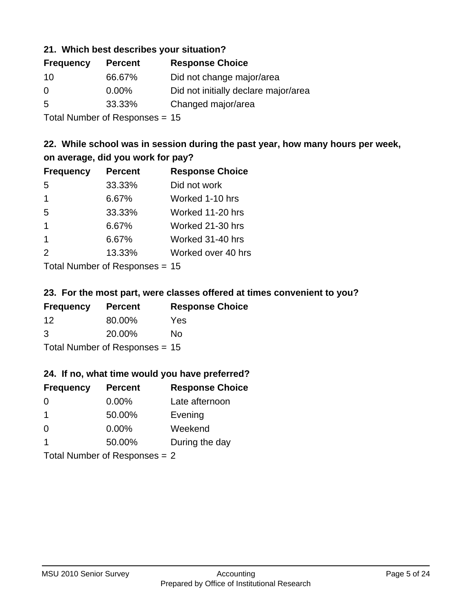#### **21. Which best describes your situation?**

| <b>Frequency</b> | <b>Percent</b> | <b>Response Choice</b>               |
|------------------|----------------|--------------------------------------|
| 10               | 66.67%         | Did not change major/area            |
| 0                | $0.00\%$       | Did not initially declare major/area |
| -5               | 33.33%         | Changed major/area                   |
|                  |                |                                      |

Total Number of Responses = 15

### **22. While school was in session during the past year, how many hours per week, on average, did you work for pay?**

| <b>Frequency</b> | <b>Percent</b> | <b>Response Choice</b> |
|------------------|----------------|------------------------|
| 5                | 33.33%         | Did not work           |
| $\mathbf 1$      | 6.67%          | Worked 1-10 hrs        |
| 5                | 33.33%         | Worked 11-20 hrs       |
| $\mathbf 1$      | 6.67%          | Worked 21-30 hrs       |
| $\mathbf 1$      | 6.67%          | Worked 31-40 hrs       |
| 2                | 13.33%         | Worked over 40 hrs     |
|                  |                |                        |

Total Number of Responses = 15

#### **23. For the most part, were classes offered at times convenient to you?**

| <b>Frequency</b> | <b>Percent</b>                 | <b>Response Choice</b> |
|------------------|--------------------------------|------------------------|
| 12               | 80.00%                         | <b>Yes</b>             |
| 3                | 20.00%                         | No.                    |
|                  | Total Number of Responses = 15 |                        |

#### **24. If no, what time would you have preferred?**

| <b>Frequency</b> | <b>Percent</b>                  | <b>Response Choice</b> |
|------------------|---------------------------------|------------------------|
| $\Omega$         | $0.00\%$                        | Late afternoon         |
| -1               | 50.00%                          | Evening                |
| $\Omega$         | $0.00\%$                        | Weekend                |
| -1               | 50.00%                          | During the day         |
|                  | Total Number of Responses $= 2$ |                        |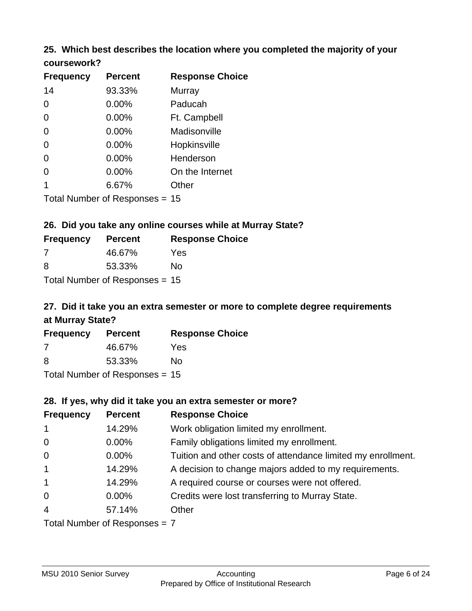# **25. Which best describes the location where you completed the majority of your**

| <b>Frequency</b> | <b>Percent</b>             | <b>Response Choice</b> |
|------------------|----------------------------|------------------------|
| 14               | 93.33%                     | <b>Murray</b>          |
| $\Omega$         | 0.00%                      | Paducah                |
| $\Omega$         | 0.00%                      | Ft. Campbell           |
| $\Omega$         | 0.00%                      | Madisonville           |
| $\overline{0}$   | 0.00%                      | Hopkinsville           |
| 0                | 0.00%                      | Henderson              |
| $\overline{0}$   | 0.00%                      | On the Internet        |
| 1                | 6.67%                      | Other                  |
|                  | Total Number of Deepersoon |                        |

Total Number of Responses = 15

**coursework?**

### **26. Did you take any online courses while at Murray State?**

| <b>Frequency</b> | <b>Percent</b>                 | <b>Response Choice</b> |
|------------------|--------------------------------|------------------------|
| -7               | 46.67%                         | Yes                    |
| -8               | 53.33%                         | No                     |
|                  | Total Number of Responses = 15 |                        |

### **27. Did it take you an extra semester or more to complete degree requirements at Murray State?**

| <b>Frequency</b>                 | <b>Percent</b> | <b>Response Choice</b> |  |
|----------------------------------|----------------|------------------------|--|
| 7                                | 46.67%         | Yes                    |  |
| 8                                | 53.33%         | No                     |  |
| Total Number of Responses = $15$ |                |                        |  |

**28. If yes, why did it take you an extra semester or more?**

| ZO. II YES, WITY UIU IL LANE YOU AN EXITA SENTESTER OF HIDTE! |                               |                                                              |  |
|---------------------------------------------------------------|-------------------------------|--------------------------------------------------------------|--|
| <b>Frequency</b>                                              | <b>Percent</b>                | <b>Response Choice</b>                                       |  |
| $\mathbf{1}$                                                  | 14.29%                        | Work obligation limited my enrollment.                       |  |
| $\overline{0}$                                                | $0.00\%$                      | Family obligations limited my enrollment.                    |  |
| $\overline{0}$                                                | $0.00\%$                      | Tuition and other costs of attendance limited my enrollment. |  |
| $\mathbf{1}$                                                  | 14.29%                        | A decision to change majors added to my requirements.        |  |
| $\mathbf{1}$                                                  | 14.29%                        | A required course or courses were not offered.               |  |
| $\overline{0}$                                                | $0.00\%$                      | Credits were lost transferring to Murray State.              |  |
| $\overline{4}$                                                | 57.14%                        | Other                                                        |  |
|                                                               | $Total Number of Denance = 7$ |                                                              |  |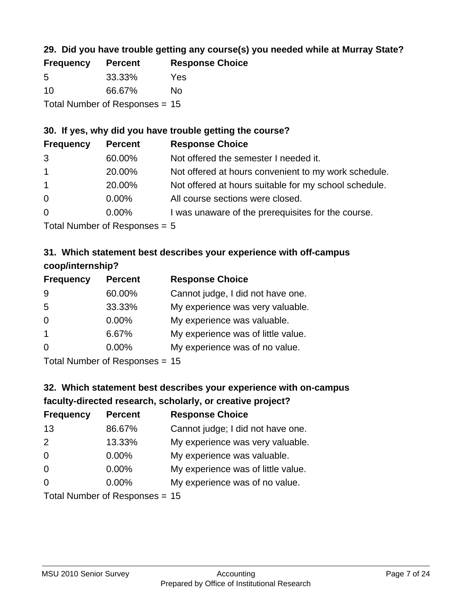### **29. Did you have trouble getting any course(s) you needed while at Murray State?**

| <b>Frequency</b> | <b>Percent</b>                   | <b>Response Choice</b> |
|------------------|----------------------------------|------------------------|
| -5               | 33.33%                           | Yes                    |
| 10               | 66.67%                           | Nο                     |
|                  | Total Number of Responses $= 15$ |                        |

### **30. If yes, why did you have trouble getting the course?**

| <b>Frequency</b> | <b>Percent</b> | <b>Response Choice</b>                                |
|------------------|----------------|-------------------------------------------------------|
| 3                | 60.00%         | Not offered the semester I needed it.                 |
| $\overline{1}$   | 20.00%         | Not offered at hours convenient to my work schedule.  |
| $\mathbf{1}$     | 20.00%         | Not offered at hours suitable for my school schedule. |
| $\overline{0}$   | $0.00\%$       | All course sections were closed.                      |
| $\overline{0}$   | $0.00\%$       | I was unaware of the prerequisites for the course.    |
|                  |                |                                                       |

Total Number of Responses = 5

### **31. Which statement best describes your experience with off-campus coop/internship?**

| <b>Frequency</b> | <b>Percent</b> | <b>Response Choice</b>             |
|------------------|----------------|------------------------------------|
| 9                | 60.00%         | Cannot judge, I did not have one.  |
| 5                | 33.33%         | My experience was very valuable.   |
| $\Omega$         | $0.00\%$       | My experience was valuable.        |
| -1               | 6.67%          | My experience was of little value. |
| $\Omega$         | 0.00%          | My experience was of no value.     |
|                  |                |                                    |

Total Number of Responses = 15

# **32. Which statement best describes your experience with on-campus faculty-directed research, scholarly, or creative project?**

| <b>Frequency</b> | <b>Percent</b>            | <b>Response Choice</b>             |
|------------------|---------------------------|------------------------------------|
| 13               | 86.67%                    | Cannot judge; I did not have one.  |
| 2                | 13.33%                    | My experience was very valuable.   |
| $\Omega$         | 0.00%                     | My experience was valuable.        |
| $\Omega$         | 0.00%                     | My experience was of little value. |
| $\Omega$         | 0.00%                     | My experience was of no value.     |
|                  | Total Number of Despenses |                                    |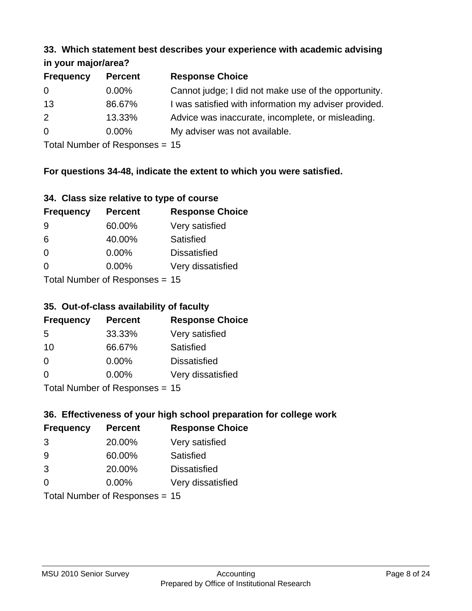#### **33. Which statement best describes your experience with academic advising in your major/area?**

| $\cdots$ your mapproved. |                |                                                       |  |
|--------------------------|----------------|-------------------------------------------------------|--|
| <b>Frequency</b>         | <b>Percent</b> | <b>Response Choice</b>                                |  |
| 0                        | $0.00\%$       | Cannot judge; I did not make use of the opportunity.  |  |
| 13                       | 86.67%         | I was satisfied with information my adviser provided. |  |
| 2                        | 13.33%         | Advice was inaccurate, incomplete, or misleading.     |  |
| $\Omega$                 | $0.00\%$       | My adviser was not available.                         |  |
|                          |                |                                                       |  |

Total Number of Responses = 15

### **For questions 34-48, indicate the extent to which you were satisfied.**

| 34. Class size relative to type of course |  |  |  |  |  |  |  |  |
|-------------------------------------------|--|--|--|--|--|--|--|--|
|-------------------------------------------|--|--|--|--|--|--|--|--|

| <b>Frequency</b>                | <b>Percent</b> | <b>Response Choice</b> |  |
|---------------------------------|----------------|------------------------|--|
| -9                              | 60.00%         | Very satisfied         |  |
| 6                               | 40.00%         | Satisfied              |  |
| $\Omega$                        | $0.00\%$       | <b>Dissatisfied</b>    |  |
| $\Omega$                        | 0.00%          | Very dissatisfied      |  |
| Total Number of Responses $-15$ |                |                        |  |

Total Number of Responses = 15

### **35. Out-of-class availability of faculty**

| <b>Frequency</b> | <b>Percent</b>                   | <b>Response Choice</b> |
|------------------|----------------------------------|------------------------|
| 5                | 33.33%                           | Very satisfied         |
| 10               | 66.67%                           | Satisfied              |
| $\Omega$         | $0.00\%$                         | <b>Dissatisfied</b>    |
| $\Omega$         | $0.00\%$                         | Very dissatisfied      |
|                  | $Total Number of Doepopose = 45$ |                        |

Total Number of Responses = 15

### **36. Effectiveness of your high school preparation for college work**

| <b>Frequency</b> | <b>Percent</b>                 | <b>Response Choice</b> |
|------------------|--------------------------------|------------------------|
| 3                | 20.00%                         | Very satisfied         |
| 9                | 60.00%                         | Satisfied              |
| 3                | 20.00%                         | <b>Dissatisfied</b>    |
| $\Omega$         | $0.00\%$                       | Very dissatisfied      |
|                  | Total Number of Responses = 15 |                        |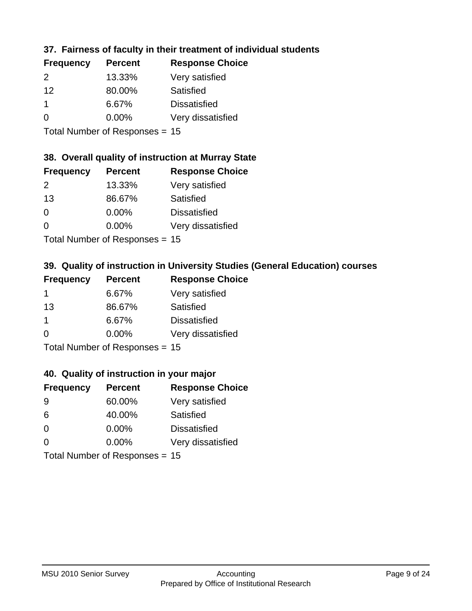### **37. Fairness of faculty in their treatment of individual students**

| <b>Frequency</b> | <b>Percent</b> | <b>Response Choice</b> |
|------------------|----------------|------------------------|
| $\mathcal{P}$    | 13.33%         | Very satisfied         |
| 12               | 80.00%         | Satisfied              |
| -1               | 6.67%          | <b>Dissatisfied</b>    |
| 0                | $0.00\%$       | Very dissatisfied      |
|                  |                |                        |

Total Number of Responses = 15

#### **38. Overall quality of instruction at Murray State**

| <b>Frequency</b> | <b>Percent</b> | <b>Response Choice</b> |
|------------------|----------------|------------------------|
| 2                | 13.33%         | Very satisfied         |
| 13               | 86.67%         | Satisfied              |
| $\Omega$         | 0.00%          | <b>Dissatisfied</b>    |
| $\Omega$         | 0.00%          | Very dissatisfied      |
|                  |                |                        |

Total Number of Responses = 15

### **39. Quality of instruction in University Studies (General Education) courses**

| <b>Frequency</b> | <b>Percent</b>            | <b>Response Choice</b> |
|------------------|---------------------------|------------------------|
|                  | 6.67%                     | Very satisfied         |
| 13               | 86.67%                    | Satisfied              |
| 1                | 6.67%                     | <b>Dissatisfied</b>    |
| $\Omega$         | 0.00%                     | Very dissatisfied      |
|                  | Total Number of Desponses |                        |

Total Number of Responses = 15

#### **40. Quality of instruction in your major**

| <b>Frequency</b> | <b>Percent</b>                 | <b>Response Choice</b> |
|------------------|--------------------------------|------------------------|
| 9                | 60.00%                         | Very satisfied         |
| 6                | 40.00%                         | Satisfied              |
| $\Omega$         | $0.00\%$                       | <b>Dissatisfied</b>    |
| $\Omega$         | $0.00\%$                       | Very dissatisfied      |
|                  | Total Number of Responses = 15 |                        |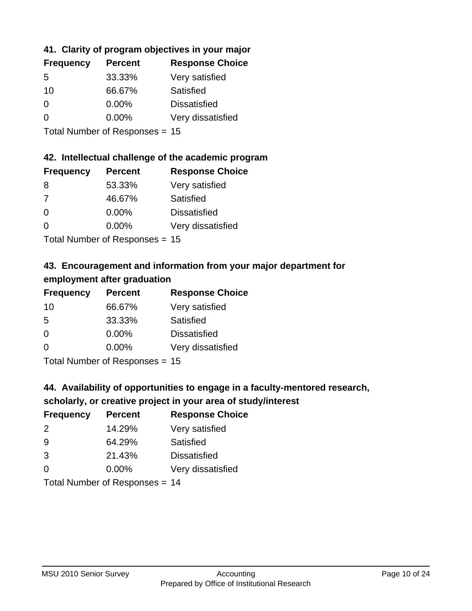### **41. Clarity of program objectives in your major**

| <b>Frequency</b> | <b>Percent</b> | <b>Response Choice</b> |
|------------------|----------------|------------------------|
| .5               | 33.33%         | Very satisfied         |
| 10               | 66.67%         | Satisfied              |
| $\Omega$         | 0.00%          | <b>Dissatisfied</b>    |
| $\Omega$         | 0.00%          | Very dissatisfied      |
|                  |                |                        |

Total Number of Responses = 15

#### **42. Intellectual challenge of the academic program**

| <b>Frequency</b> | <b>Percent</b> | <b>Response Choice</b> |
|------------------|----------------|------------------------|
| 8                | 53.33%         | Very satisfied         |
| 7                | 46.67%         | Satisfied              |
| $\Omega$         | 0.00%          | <b>Dissatisfied</b>    |
| $\Omega$         | 0.00%          | Very dissatisfied      |
|                  |                |                        |

Total Number of Responses = 15

### **43. Encouragement and information from your major department for employment after graduation**

| <b>Frequency</b> | <b>Percent</b>              | <b>Response Choice</b> |
|------------------|-----------------------------|------------------------|
| 10               | 66.67%                      | Very satisfied         |
| 5                | 33.33%                      | Satisfied              |
| 0                | $0.00\%$                    | <b>Dissatisfied</b>    |
| $\Omega$         | 0.00%                       | Very dissatisfied      |
|                  | Tatal Massakan af Dagmannar |                        |

Total Number of Responses = 15

# **44. Availability of opportunities to engage in a faculty-mentored research,**

### **scholarly, or creative project in your area of study/interest**

| <b>Frequency</b> | <b>Percent</b> | <b>Response Choice</b> |
|------------------|----------------|------------------------|
| 2                | 14.29%         | Very satisfied         |
| 9                | 64.29%         | Satisfied              |
| 3                | 21.43%         | <b>Dissatisfied</b>    |
| $\Omega$         | 0.00%          | Very dissatisfied      |
|                  |                |                        |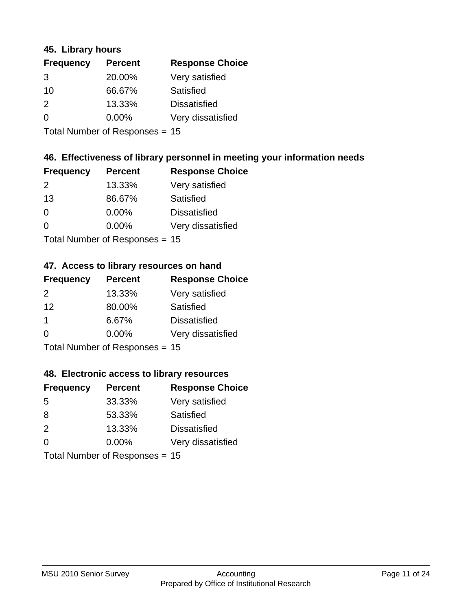#### **45. Library hours**

| <b>Frequency</b> | <b>Percent</b> | <b>Response Choice</b> |
|------------------|----------------|------------------------|
| 3                | 20.00%         | Very satisfied         |
| 10               | 66.67%         | Satisfied              |
| 2                | 13.33%         | <b>Dissatisfied</b>    |
| 0                | 0.00%          | Very dissatisfied      |
|                  |                |                        |

Total Number of Responses = 15

### **46. Effectiveness of library personnel in meeting your information needs**

| <b>Frequency</b> | <b>Percent</b> | <b>Response Choice</b> |
|------------------|----------------|------------------------|
| $\mathcal{P}$    | 13.33%         | Very satisfied         |
| 13               | 86.67%         | Satisfied              |
| $\Omega$         | 0.00%          | <b>Dissatisfied</b>    |
| $\Omega$         | 0.00%          | Very dissatisfied      |
|                  |                |                        |

Total Number of Responses = 15

#### **47. Access to library resources on hand**

| <b>Frequency</b> | <b>Percent</b>                  | <b>Response Choice</b> |
|------------------|---------------------------------|------------------------|
| $\mathcal{P}$    | 13.33%                          | Very satisfied         |
| 12               | 80.00%                          | Satisfied              |
| -1               | 6.67%                           | <b>Dissatisfied</b>    |
| $\Omega$         | $0.00\%$                        | Very dissatisfied      |
|                  | $Total Number of Doonono0 = 4E$ |                        |

Total Number of Responses = 15

#### **48. Electronic access to library resources**

| <b>Frequency</b> | <b>Percent</b>                 | <b>Response Choice</b> |
|------------------|--------------------------------|------------------------|
| 5                | 33.33%                         | Very satisfied         |
| 8                | 53.33%                         | Satisfied              |
| 2                | 13.33%                         | <b>Dissatisfied</b>    |
| $\Omega$         | $0.00\%$                       | Very dissatisfied      |
|                  | Total Number of Responses = 15 |                        |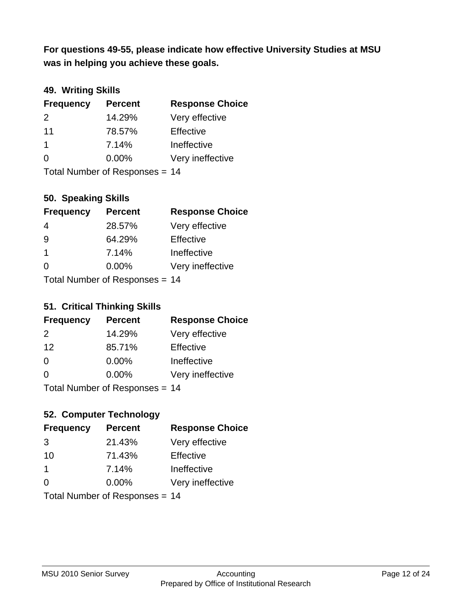**was in helping you achieve these goals. For questions 49-55, please indicate how effective University Studies at MSU** 

### **49. Writing Skills**

| <b>Frequency</b> | <b>Percent</b>                 | <b>Response Choice</b> |
|------------------|--------------------------------|------------------------|
| $\mathcal{P}$    | 14.29%                         | Very effective         |
| 11               | 78.57%                         | Effective              |
| $\overline{1}$   | 7.14%                          | Ineffective            |
| $\Omega$         | $0.00\%$                       | Very ineffective       |
|                  | Total Number of Responses = 14 |                        |

**50. Speaking Skills**

| <b>Frequency</b> | <b>Percent</b>                   | <b>Response Choice</b> |
|------------------|----------------------------------|------------------------|
| 4                | 28.57%                           | Very effective         |
| 9                | 64.29%                           | Effective              |
| -1               | 7.14%                            | Ineffective            |
| $\Omega$         | 0.00%                            | Very ineffective       |
|                  | $Total Number of Doepopose = 11$ |                        |

Total Number of Responses = 14

### **51. Critical Thinking Skills**

| <b>Frequency</b> | <b>Percent</b>           | <b>Response Choice</b> |
|------------------|--------------------------|------------------------|
| 2                | 14.29%                   | Very effective         |
| 12               | 85.71%                   | Effective              |
| $\Omega$         | 0.00%                    | Ineffective            |
| $\Omega$         | 0.00%                    | Very ineffective       |
|                  | Total Number of DoEROR 0 | 1 A                    |

Total Number of Responses = 14

### **52. Computer Technology**

| <b>Frequency</b> | <b>Percent</b>                 | <b>Response Choice</b> |
|------------------|--------------------------------|------------------------|
| 3                | 21.43%                         | Very effective         |
| 10               | 71.43%                         | Effective              |
| $\mathbf 1$      | 7.14%                          | Ineffective            |
| $\Omega$         | $0.00\%$                       | Very ineffective       |
|                  | Total Number of Responses = 14 |                        |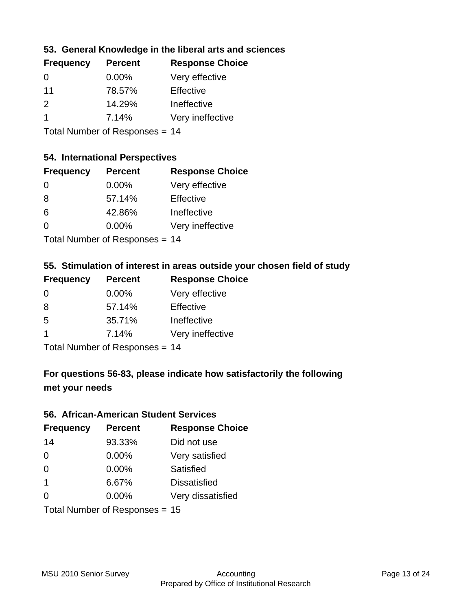### **53. General Knowledge in the liberal arts and sciences**

| <b>Frequency</b> | <b>Percent</b> | <b>Response Choice</b> |
|------------------|----------------|------------------------|
| $\Omega$         | $0.00\%$       | Very effective         |
| 11               | 78.57%         | Effective              |
| $\mathcal{P}$    | 14.29%         | Ineffective            |
|                  | 7.14%          | Very ineffective       |
|                  |                |                        |

Total Number of Responses = 14

#### **54. International Perspectives**

| <b>Frequency</b> | <b>Percent</b> | <b>Response Choice</b> |
|------------------|----------------|------------------------|
| $\Omega$         | 0.00%          | Very effective         |
| 8                | 57.14%         | Effective              |
| 6                | 42.86%         | Ineffective            |
| $\Omega$         | 0.00%          | Very ineffective       |
|                  |                |                        |

Total Number of Responses = 14

### **55. Stimulation of interest in areas outside your chosen field of study**

| <b>Frequency</b> | <b>Percent</b>                 | <b>Response Choice</b> |
|------------------|--------------------------------|------------------------|
| $\Omega$         | $0.00\%$                       | Very effective         |
| 8                | 57.14%                         | Effective              |
| $\overline{5}$   | 35.71%                         | Ineffective            |
| -1               | 7.14%                          | Very ineffective       |
|                  | Total Number of Responses = 14 |                        |

**For questions 56-83, please indicate how satisfactorily the following**

### **met your needs**

#### **56. African-American Student Services**

| <b>Frequency</b> | <b>Percent</b>                 | <b>Response Choice</b> |
|------------------|--------------------------------|------------------------|
| 14               | 93.33%                         | Did not use            |
| $\Omega$         | $0.00\%$                       | Very satisfied         |
| 0                | 0.00%                          | Satisfied              |
| $\overline{1}$   | 6.67%                          | <b>Dissatisfied</b>    |
| $\Omega$         | $0.00\%$                       | Very dissatisfied      |
|                  | Total Number of Responses = 15 |                        |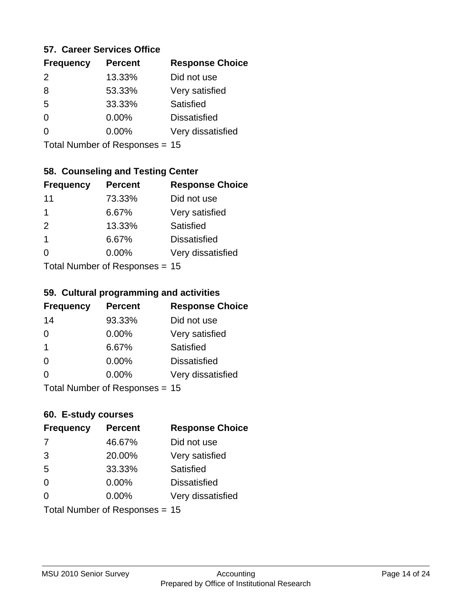#### **57. Career Services Office**

| <b>Frequency</b> | <b>Percent</b> | <b>Response Choice</b> |
|------------------|----------------|------------------------|
| $\mathcal{P}$    | 13.33%         | Did not use            |
| 8                | 53.33%         | Very satisfied         |
| 5                | 33.33%         | Satisfied              |
| ∩                | 0.00%          | <b>Dissatisfied</b>    |
|                  | $0.00\%$       | Very dissatisfied      |
|                  |                |                        |

Total Number of Responses = 15

### **58. Counseling and Testing Center**

| <b>Frequency</b> | <b>Percent</b>             | <b>Response Choice</b> |
|------------------|----------------------------|------------------------|
| 11               | 73.33%                     | Did not use            |
| 1                | 6.67%                      | Very satisfied         |
| 2                | 13.33%                     | Satisfied              |
| 1                | 6.67%                      | <b>Dissatisfied</b>    |
| 0                | $0.00\%$                   | Very dissatisfied      |
|                  | Total Number of Deepersoon |                        |

Total Number of Responses = 15

#### **59. Cultural programming and activities**

| <b>Frequency</b> | <b>Percent</b>                 | <b>Response Choice</b> |
|------------------|--------------------------------|------------------------|
| 14               | 93.33%                         | Did not use            |
| 0                | 0.00%                          | Very satisfied         |
| -1               | 6.67%                          | Satisfied              |
| $\Omega$         | 0.00%                          | <b>Dissatisfied</b>    |
| $\Omega$         | $0.00\%$                       | Very dissatisfied      |
|                  | Total Number of Responses = 15 |                        |

### **60. E-study courses**

| <b>Frequency</b> | <b>Percent</b>                 | <b>Response Choice</b> |
|------------------|--------------------------------|------------------------|
| 7                | 46.67%                         | Did not use            |
| 3                | 20.00%                         | Very satisfied         |
| 5                | 33.33%                         | Satisfied              |
| $\Omega$         | 0.00%                          | <b>Dissatisfied</b>    |
| $\Omega$         | $0.00\%$                       | Very dissatisfied      |
|                  | Total Number of Responses = 15 |                        |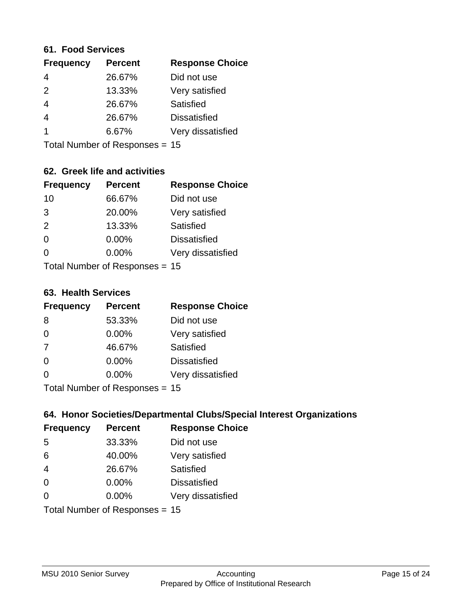#### **61. Food Services**

| <b>Response Choice</b> |
|------------------------|
|                        |
|                        |
|                        |
|                        |
| Very dissatisfied      |
|                        |

Total Number of Responses = 15

### **62. Greek life and activities**

| <b>Frequency</b>               | <b>Percent</b> | <b>Response Choice</b> |
|--------------------------------|----------------|------------------------|
| 10                             | 66.67%         | Did not use            |
| 3                              | 20.00%         | Very satisfied         |
| 2                              | 13.33%         | Satisfied              |
| $\Omega$                       | 0.00%          | <b>Dissatisfied</b>    |
| 0                              | $0.00\%$       | Very dissatisfied      |
| Total Number of Responses = 15 |                |                        |

**63. Health Services**

| <b>Frequency</b>          | <b>Percent</b> | <b>Response Choice</b> |
|---------------------------|----------------|------------------------|
| 8                         | 53.33%         | Did not use            |
| $\Omega$                  | $0.00\%$       | Very satisfied         |
| 7                         | 46.67%         | <b>Satisfied</b>       |
| $\Omega$                  | 0.00%          | <b>Dissatisfied</b>    |
| $\Omega$                  | $0.00\%$       | Very dissatisfied      |
| Total Number of Desponses |                |                        |

Total Number of Responses = 15

### **64. Honor Societies/Departmental Clubs/Special Interest Organizations**

| <b>Frequency</b>               | <b>Percent</b> | <b>Response Choice</b> |
|--------------------------------|----------------|------------------------|
| 5                              | 33.33%         | Did not use            |
| 6                              | 40.00%         | Very satisfied         |
| $\overline{4}$                 | 26.67%         | Satisfied              |
| $\Omega$                       | 0.00%          | <b>Dissatisfied</b>    |
| $\Omega$                       | 0.00%          | Very dissatisfied      |
| Total Number of Responses = 15 |                |                        |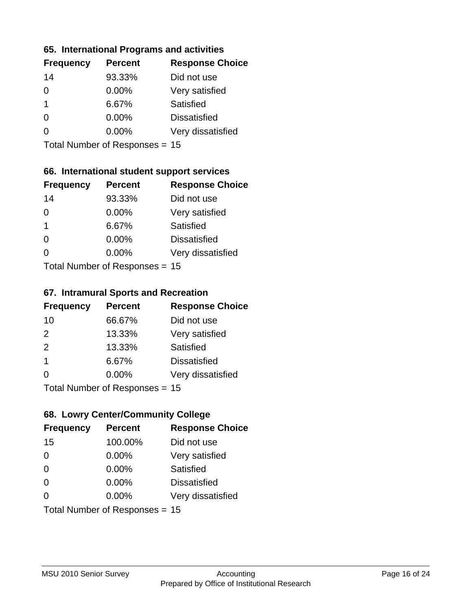#### **65. International Programs and activities**

| <b>Frequency</b> | <b>Percent</b> | <b>Response Choice</b> |
|------------------|----------------|------------------------|
| 14               | 93.33%         | Did not use            |
| 0                | 0.00%          | Very satisfied         |
| 1                | 6.67%          | Satisfied              |
| O                | $0.00\%$       | <b>Dissatisfied</b>    |
|                  | $0.00\%$       | Very dissatisfied      |
|                  |                |                        |

Total Number of Responses = 15

### **66. International student support services**

| <b>Frequency</b>          | <b>Percent</b> | <b>Response Choice</b> |
|---------------------------|----------------|------------------------|
| 14                        | 93.33%         | Did not use            |
| $\Omega$                  | 0.00%          | Very satisfied         |
| $\mathbf 1$               | 6.67%          | <b>Satisfied</b>       |
| $\Omega$                  | 0.00%          | <b>Dissatisfied</b>    |
| ∩                         | 0.00%          | Very dissatisfied      |
| Total Number of Desponses |                |                        |

Total Number of Responses = 15

#### **67. Intramural Sports and Recreation**

| <b>Frequency</b>                | <b>Percent</b> | <b>Response Choice</b> |
|---------------------------------|----------------|------------------------|
| 10                              | 66.67%         | Did not use            |
| 2                               | 13.33%         | Very satisfied         |
| 2                               | 13.33%         | Satisfied              |
| -1                              | 6.67%          | <b>Dissatisfied</b>    |
| $\Omega$                        | 0.00%          | Very dissatisfied      |
| $Total Number of Denonose = 45$ |                |                        |

I otal Number of Responses = 15

### **68. Lowry Center/Community College**

| <b>Frequency</b> | <b>Percent</b>                 | <b>Response Choice</b> |
|------------------|--------------------------------|------------------------|
| 15               | 100.00%                        | Did not use            |
| $\Omega$         | 0.00%                          | Very satisfied         |
| $\Omega$         | 0.00%                          | Satisfied              |
| $\Omega$         | $0.00\%$                       | <b>Dissatisfied</b>    |
| $\Omega$         | $0.00\%$                       | Very dissatisfied      |
|                  | Total Number of Responses = 15 |                        |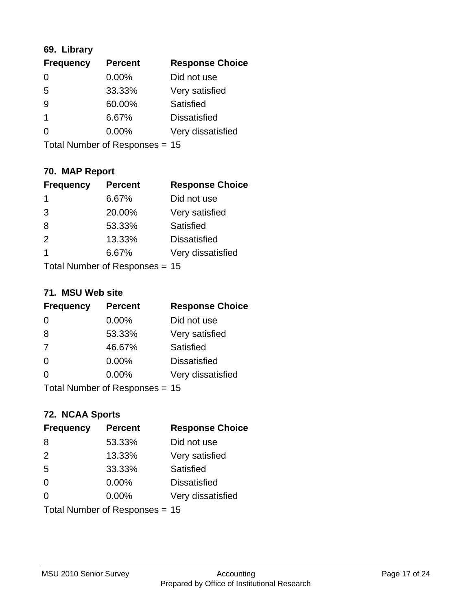### **69. Library**

| <b>Frequency</b> | <b>Percent</b> | <b>Response Choice</b> |
|------------------|----------------|------------------------|
| 0                | 0.00%          | Did not use            |
| 5                | 33.33%         | Very satisfied         |
| 9                | 60.00%         | Satisfied              |
|                  | 6.67%          | <b>Dissatisfied</b>    |
| O                | $0.00\%$       | Very dissatisfied      |
|                  |                |                        |

Total Number of Responses = 15

# **70. MAP Report**

| <b>Frequency</b> | <b>Percent</b>                 | <b>Response Choice</b> |
|------------------|--------------------------------|------------------------|
| 1                | 6.67%                          | Did not use            |
| 3                | 20.00%                         | Very satisfied         |
| 8                | 53.33%                         | Satisfied              |
| 2                | 13.33%                         | <b>Dissatisfied</b>    |
| 1                | 6.67%                          | Very dissatisfied      |
|                  | Total Number of Responses = 15 |                        |

#### **71. MSU Web site**

| <b>Frequency</b>                 | <b>Percent</b> | <b>Response Choice</b> |
|----------------------------------|----------------|------------------------|
| $\Omega$                         | $0.00\%$       | Did not use            |
| 8                                | 53.33%         | Very satisfied         |
| 7                                | 46.67%         | Satisfied              |
| $\Omega$                         | 0.00%          | <b>Dissatisfied</b>    |
| $\Omega$                         | 0.00%          | Very dissatisfied      |
| Total Number of Responses $= 15$ |                |                        |

### **72. NCAA Sports**

| <b>Frequency</b>               | <b>Percent</b> | <b>Response Choice</b> |
|--------------------------------|----------------|------------------------|
| 8                              | 53.33%         | Did not use            |
| 2                              | 13.33%         | Very satisfied         |
| 5                              | 33.33%         | Satisfied              |
| $\Omega$                       | 0.00%          | <b>Dissatisfied</b>    |
| $\Omega$                       | 0.00%          | Very dissatisfied      |
| Total Number of Responses = 15 |                |                        |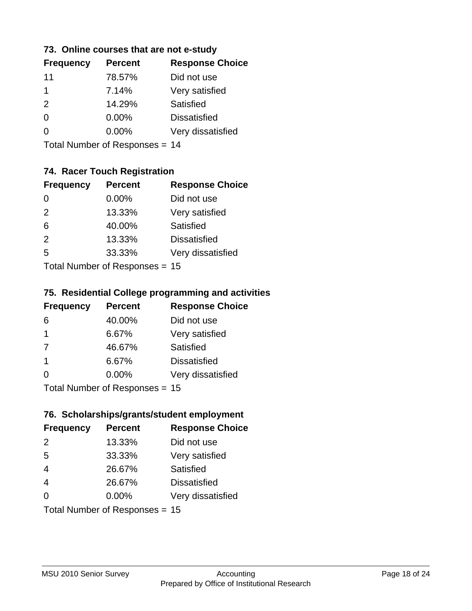### **73. Online courses that are not e-study**

| <b>Percent</b> | <b>Response Choice</b> |
|----------------|------------------------|
| 78.57%         | Did not use            |
| 7.14%          | Very satisfied         |
| 14.29%         | Satisfied              |
| $0.00\%$       | <b>Dissatisfied</b>    |
| $0.00\%$       | Very dissatisfied      |
|                |                        |

Total Number of Responses = 14

### **74. Racer Touch Registration**

| <b>Frequency</b>          | <b>Percent</b> | <b>Response Choice</b> |
|---------------------------|----------------|------------------------|
| $\Omega$                  | $0.00\%$       | Did not use            |
| 2                         | 13.33%         | Very satisfied         |
| 6                         | 40.00%         | <b>Satisfied</b>       |
| 2                         | 13.33%         | <b>Dissatisfied</b>    |
| 5                         | 33.33%         | Very dissatisfied      |
| Total Number of Desponses |                |                        |

Total Number of Responses = 15

#### **75. Residential College programming and activities**

| <b>Frequency</b> | <b>Percent</b>            | <b>Response Choice</b> |
|------------------|---------------------------|------------------------|
| 6                | 40.00%                    | Did not use            |
| $\overline{1}$   | 6.67%                     | Very satisfied         |
| 7                | 46.67%                    | Satisfied              |
| -1               | 6.67%                     | <b>Dissatisfied</b>    |
| $\Omega$         | 0.00%                     | Very dissatisfied      |
|                  | Total Number of DoEROR 0. |                        |

Total Number of Responses = 15

### **76. Scholarships/grants/student employment**

| <b>Frequency</b>               | <b>Percent</b> | <b>Response Choice</b> |
|--------------------------------|----------------|------------------------|
| $\mathcal{P}$                  | 13.33%         | Did not use            |
| 5                              | 33.33%         | Very satisfied         |
| $\overline{4}$                 | 26.67%         | Satisfied              |
| $\overline{4}$                 | 26.67%         | <b>Dissatisfied</b>    |
| $\Omega$                       | $0.00\%$       | Very dissatisfied      |
| Total Number of Responses = 15 |                |                        |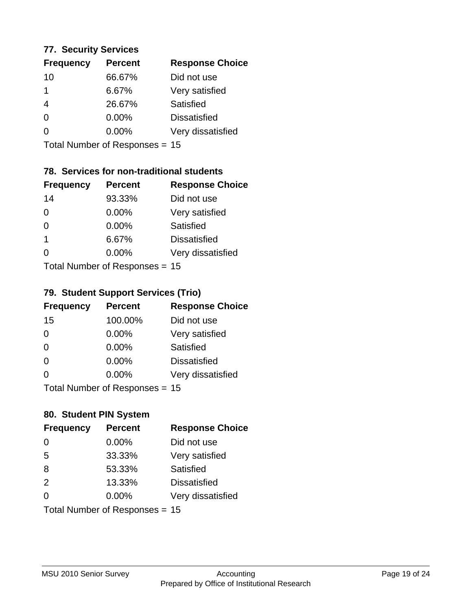#### **77. Security Services**

| <b>Frequency</b> | <b>Percent</b> | <b>Response Choice</b> |
|------------------|----------------|------------------------|
| 10               | 66.67%         | Did not use            |
|                  | 6.67%          | Very satisfied         |
| 4                | 26.67%         | Satisfied              |
| 0                | $0.00\%$       | <b>Dissatisfied</b>    |
| O                | $0.00\%$       | Very dissatisfied      |
|                  |                |                        |

Total Number of Responses = 15

### **78. Services for non-traditional students**

| <b>Frequency</b>          | <b>Percent</b> | <b>Response Choice</b> |
|---------------------------|----------------|------------------------|
| 14                        | 93.33%         | Did not use            |
| $\Omega$                  | 0.00%          | Very satisfied         |
| $\Omega$                  | $0.00\%$       | <b>Satisfied</b>       |
| $\overline{1}$            | 6.67%          | <b>Dissatisfied</b>    |
| 0                         | 0.00%          | Very dissatisfied      |
| Total Number of Desponses |                |                        |

Total Number of Responses = 15

#### **79. Student Support Services (Trio)**

| <b>Frequency</b>                | <b>Percent</b> | <b>Response Choice</b> |
|---------------------------------|----------------|------------------------|
| 15                              | 100.00%        | Did not use            |
| $\Omega$                        | 0.00%          | Very satisfied         |
| $\Omega$                        | 0.00%          | Satisfied              |
| $\Omega$                        | 0.00%          | <b>Dissatisfied</b>    |
| $\Omega$                        | 0.00%          | Very dissatisfied      |
| $Total Number of Denonose = 45$ |                |                        |

I otal Number of Responses = 15

### **80. Student PIN System**

| <b>Frequency</b>               | <b>Percent</b> | <b>Response Choice</b> |
|--------------------------------|----------------|------------------------|
| 0                              | 0.00%          | Did not use            |
| 5                              | 33.33%         | Very satisfied         |
| 8                              | 53.33%         | Satisfied              |
| 2                              | 13.33%         | <b>Dissatisfied</b>    |
| 0                              | $0.00\%$       | Very dissatisfied      |
| Total Number of Responses = 15 |                |                        |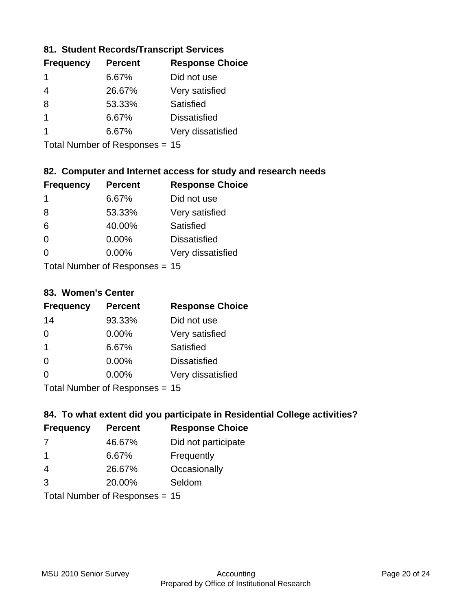### **81. Student Records/Transcript Services**

| <b>Percent</b> | <b>Response Choice</b> |
|----------------|------------------------|
| 6.67%          | Did not use            |
| 26.67%         | Very satisfied         |
| 53.33%         | Satisfied              |
| 6.67%          | <b>Dissatisfied</b>    |
| 6.67%          | Very dissatisfied      |
|                |                        |

Total Number of Responses = 15

### **82. Computer and Internet access for study and research needs**

| <b>Frequency</b>          | <b>Percent</b> | <b>Response Choice</b> |
|---------------------------|----------------|------------------------|
| 1                         | 6.67%          | Did not use            |
| 8                         | 53.33%         | Very satisfied         |
| 6                         | 40.00%         | Satisfied              |
| $\Omega$                  | 0.00%          | <b>Dissatisfied</b>    |
| ∩                         | 0.00%          | Very dissatisfied      |
| Total Number of Deepersee |                |                        |

Total Number of Responses = 15

#### **83. Women's Center**

| <b>Frequency</b>          | <b>Percent</b> | <b>Response Choice</b> |
|---------------------------|----------------|------------------------|
| 14                        | 93.33%         | Did not use            |
| $\Omega$                  | $0.00\%$       | Very satisfied         |
| -1                        | 6.67%          | Satisfied              |
| $\Omega$                  | 0.00%          | <b>Dissatisfied</b>    |
| $\Omega$                  | 0.00%          | Very dissatisfied      |
| Total Number of Desponses |                |                        |

Total Number of Responses = 15

### **84. To what extent did you participate in Residential College activities?**

| <b>Frequency</b>           | <b>Percent</b> | <b>Response Choice</b> |
|----------------------------|----------------|------------------------|
| 7                          | 46.67%         | Did not participate    |
| -1                         | 6.67%          | Frequently             |
| 4                          | 26.67%         | Occasionally           |
| 3                          | 20.00%         | Seldom                 |
| Total Number of Denonone – |                |                        |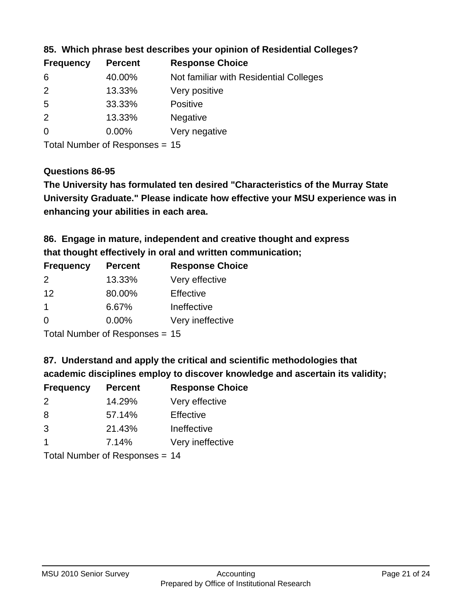| <b>Frequency</b> | <b>Percent</b> | <b>Response Choice</b>                 |
|------------------|----------------|----------------------------------------|
| 6                | 40.00%         | Not familiar with Residential Colleges |
| $\overline{2}$   | 13.33%         | Very positive                          |
| -5               | 33.33%         | <b>Positive</b>                        |
| 2                | 13.33%         | <b>Negative</b>                        |
| $\overline{0}$   | $0.00\%$       | Very negative                          |
|                  |                |                                        |

### **85. Which phrase best describes your opinion of Residential Colleges?**

Total Number of Responses = 15

#### **Questions 86-95**

**University Graduate." Please indicate how effective your MSU experience was in The University has formulated ten desired "Characteristics of the Murray State enhancing your abilities in each area.**

**86. Engage in mature, independent and creative thought and express that thought effectively in oral and written communication;**

| <b>Frequency</b> | <b>Percent</b> | <b>Response Choice</b> |
|------------------|----------------|------------------------|
| $\mathcal{P}$    | 13.33%         | Very effective         |
| 12               | 80.00%         | Effective              |
|                  | 6.67%          | Ineffective            |
| $\Omega$         | $0.00\%$       | Very ineffective       |

Total Number of Responses = 15

**87. Understand and apply the critical and scientific methodologies that** 

**academic disciplines employ to discover knowledge and ascertain its validity;**

| <b>Frequency</b> | <b>Percent</b> | <b>Response Choice</b> |
|------------------|----------------|------------------------|
| 2                | 14.29%         | Very effective         |
| 8                | 57.14%         | Effective              |
| 3                | 21.43%         | Ineffective            |
| $\overline{1}$   | 7.14%          | Very ineffective       |
|                  |                |                        |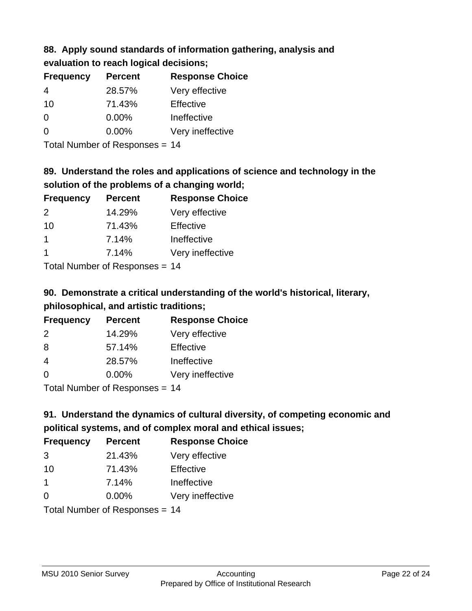# **88. Apply sound standards of information gathering, analysis and evaluation to reach logical decisions;**

| <b>Frequency</b> | <b>Percent</b> | <b>Response Choice</b> |
|------------------|----------------|------------------------|
| 4                | 28.57%         | Very effective         |
| 10               | 71.43%         | Effective              |
| O                | $0.00\%$       | Ineffective            |
| O                | $0.00\%$       | Very ineffective       |
|                  |                |                        |

Total Number of Responses = 14

# **89. Understand the roles and applications of science and technology in the solution of the problems of a changing world;**

| <b>Frequency</b>     | <b>Percent</b> | <b>Response Choice</b> |
|----------------------|----------------|------------------------|
| $\mathcal{P}$        | 14.29%         | Very effective         |
| 10                   | 71.43%         | Effective              |
| $\mathbf 1$          | 7.14%          | Ineffective            |
| $\blacktriangleleft$ | 7.14%          | Very ineffective       |
|                      |                |                        |

Total Number of Responses = 14

# **90. Demonstrate a critical understanding of the world's historical, literary, philosophical, and artistic traditions;**

| <b>Frequency</b> | <b>Percent</b> | <b>Response Choice</b> |
|------------------|----------------|------------------------|
| 2                | 14.29%         | Very effective         |
| 8                | 57.14%         | Effective              |
| 4                | 28.57%         | Ineffective            |
| $\Omega$         | 0.00%          | Very ineffective       |
|                  |                |                        |

Total Number of Responses = 14

# **91. Understand the dynamics of cultural diversity, of competing economic and political systems, and of complex moral and ethical issues;**

| <b>Frequency</b> | <b>Percent</b>                 | <b>Response Choice</b> |
|------------------|--------------------------------|------------------------|
| 3                | 21.43%                         | Very effective         |
| 10               | 71.43%                         | Effective              |
| $\mathbf 1$      | 7.14%                          | Ineffective            |
| $\Omega$         | 0.00%                          | Very ineffective       |
|                  | Total Number of Responses = 14 |                        |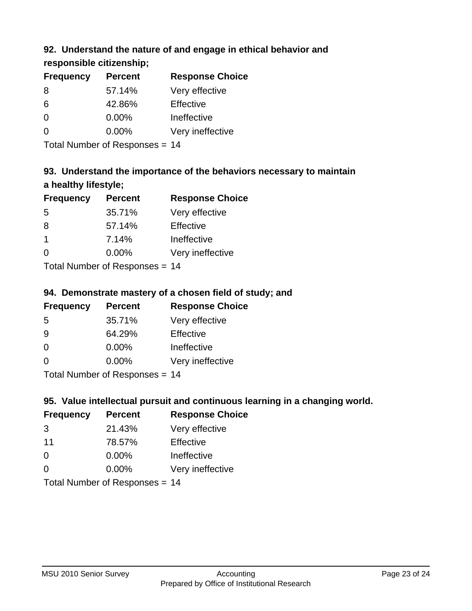### **92. Understand the nature of and engage in ethical behavior and**

**responsible citizenship;**

| <b>Frequency</b> | <b>Percent</b> | <b>Response Choice</b> |
|------------------|----------------|------------------------|
| 8                | 57.14%         | Very effective         |
| 6                | 42.86%         | Effective              |
| 0                | $0.00\%$       | Ineffective            |
| $\Omega$         | $0.00\%$       | Very ineffective       |
|                  |                |                        |

Total Number of Responses = 14

# **93. Understand the importance of the behaviors necessary to maintain a healthy lifestyle;**

| <b>Frequency</b>        | <b>Percent</b> | <b>Response Choice</b> |
|-------------------------|----------------|------------------------|
| 5                       | 35.71%         | Very effective         |
| 8                       | 57.14%         | Effective              |
| $\overline{\mathbf{1}}$ | 7.14%          | Ineffective            |
| $\Omega$                | 0.00%          | Very ineffective       |
|                         |                |                        |

Total Number of Responses = 14

### **94. Demonstrate mastery of a chosen field of study; and**

| <b>Frequency</b> | <b>Percent</b> | <b>Response Choice</b> |
|------------------|----------------|------------------------|
| 5                | 35.71%         | Very effective         |
| 9                | 64.29%         | Effective              |
| $\Omega$         | 0.00%          | Ineffective            |
| $\Omega$         | 0.00%          | Very ineffective       |
|                  |                |                        |

Total Number of Responses = 14

### **95. Value intellectual pursuit and continuous learning in a changing world.**

| <b>Frequency</b> | <b>Percent</b>             | <b>Response Choice</b> |
|------------------|----------------------------|------------------------|
| 3                | 21.43%                     | Very effective         |
| 11               | 78.57%                     | Effective              |
| $\Omega$         | 0.00%                      | Ineffective            |
| $\Omega$         | 0.00%                      | Very ineffective       |
|                  | Total Number of Deepersoon | 4 A                    |